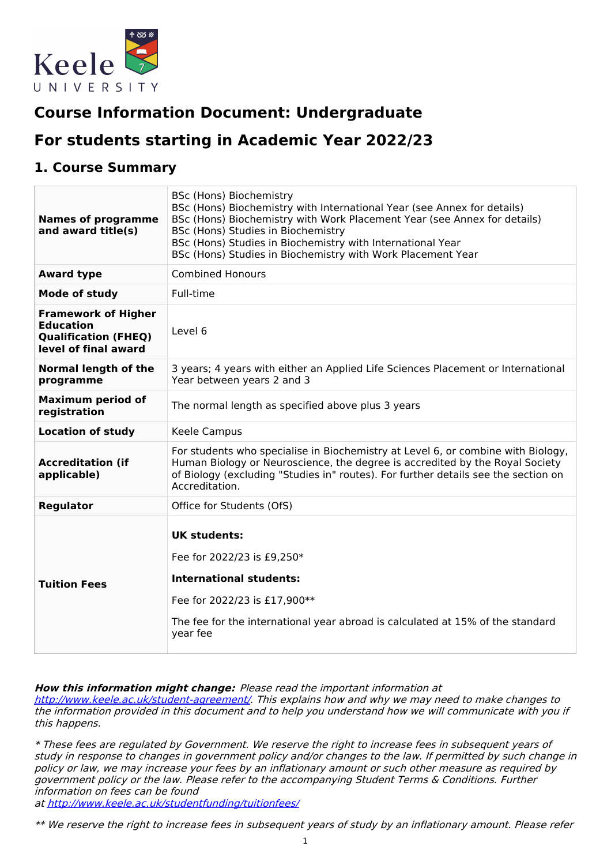

# **Course Information Document: Undergraduate**

# **For students starting in Academic Year 2022/23**

### **1. Course Summary**

| <b>Names of programme</b><br>and award title(s)                                                       | BSc (Hons) Biochemistry<br>BSc (Hons) Biochemistry with International Year (see Annex for details)<br>BSc (Hons) Biochemistry with Work Placement Year (see Annex for details)<br>BSc (Hons) Studies in Biochemistry<br>BSc (Hons) Studies in Biochemistry with International Year<br>BSc (Hons) Studies in Biochemistry with Work Placement Year |
|-------------------------------------------------------------------------------------------------------|---------------------------------------------------------------------------------------------------------------------------------------------------------------------------------------------------------------------------------------------------------------------------------------------------------------------------------------------------|
| <b>Award type</b>                                                                                     | <b>Combined Honours</b>                                                                                                                                                                                                                                                                                                                           |
| <b>Mode of study</b>                                                                                  | Full-time                                                                                                                                                                                                                                                                                                                                         |
| <b>Framework of Higher</b><br><b>Education</b><br><b>Qualification (FHEQ)</b><br>level of final award | Level 6                                                                                                                                                                                                                                                                                                                                           |
| <b>Normal length of the</b><br>programme                                                              | 3 years; 4 years with either an Applied Life Sciences Placement or International<br>Year between years 2 and 3                                                                                                                                                                                                                                    |
| <b>Maximum period of</b><br>registration                                                              | The normal length as specified above plus 3 years                                                                                                                                                                                                                                                                                                 |
| <b>Location of study</b>                                                                              | Keele Campus                                                                                                                                                                                                                                                                                                                                      |
| <b>Accreditation (if</b><br>applicable)                                                               | For students who specialise in Biochemistry at Level 6, or combine with Biology,<br>Human Biology or Neuroscience, the degree is accredited by the Royal Society<br>of Biology (excluding "Studies in" routes). For further details see the section on<br>Accreditation.                                                                          |
| <b>Regulator</b>                                                                                      | Office for Students (OfS)                                                                                                                                                                                                                                                                                                                         |
| <b>Tuition Fees</b>                                                                                   | <b>UK students:</b><br>Fee for 2022/23 is £9,250*<br><b>International students:</b><br>Fee for 2022/23 is £17,900**<br>The fee for the international year abroad is calculated at 15% of the standard<br>year fee                                                                                                                                 |

**How this information might change:** Please read the important information at

<http://www.keele.ac.uk/student-agreement/>. This explains how and why we may need to make changes to the information provided in this document and to help you understand how we will communicate with you if this happens.

\* These fees are regulated by Government. We reserve the right to increase fees in subsequent years of study in response to changes in government policy and/or changes to the law. If permitted by such change in policy or law, we may increase your fees by an inflationary amount or such other measure as required by government policy or the law. Please refer to the accompanying Student Terms & Conditions. Further information on fees can be found

at <http://www.keele.ac.uk/studentfunding/tuitionfees/>

\*\* We reserve the right to increase fees in subsequent years of study by an inflationary amount. Please refer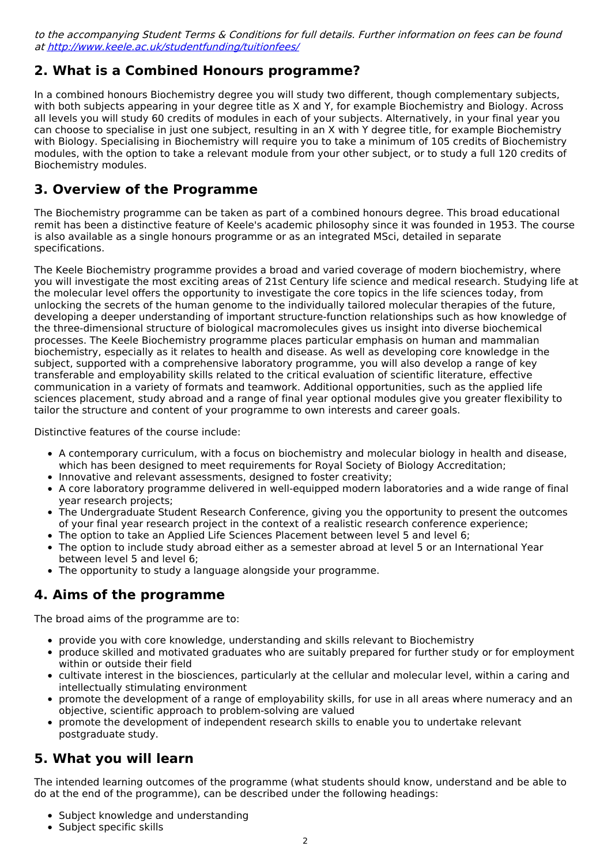to the accompanying Student Terms & Conditions for full details. Further information on fees can be found at <http://www.keele.ac.uk/studentfunding/tuitionfees/>

## **2. What is a Combined Honours programme?**

In a combined honours Biochemistry degree you will study two different, though complementary subjects, with both subjects appearing in your degree title as X and Y, for example Biochemistry and Biology. Across all levels you will study 60 credits of modules in each of your subjects. Alternatively, in your final year you can choose to specialise in just one subject, resulting in an X with Y degree title, for example Biochemistry with Biology. Specialising in Biochemistry will require you to take a minimum of 105 credits of Biochemistry modules, with the option to take a relevant module from your other subject, or to study a full 120 credits of Biochemistry modules.

## **3. Overview of the Programme**

The Biochemistry programme can be taken as part of a combined honours degree. This broad educational remit has been a distinctive feature of Keele's academic philosophy since it was founded in 1953. The course is also available as a single honours programme or as an integrated MSci, detailed in separate specifications.

The Keele Biochemistry programme provides a broad and varied coverage of modern biochemistry, where you will investigate the most exciting areas of 21st Century life science and medical research. Studying life at the molecular level offers the opportunity to investigate the core topics in the life sciences today, from unlocking the secrets of the human genome to the individually tailored molecular therapies of the future, developing a deeper understanding of important structure-function relationships such as how knowledge of the three-dimensional structure of biological macromolecules gives us insight into diverse biochemical processes. The Keele Biochemistry programme places particular emphasis on human and mammalian biochemistry, especially as it relates to health and disease. As well as developing core knowledge in the subject, supported with a comprehensive laboratory programme, you will also develop a range of key transferable and employability skills related to the critical evaluation of scientific literature, effective communication in a variety of formats and teamwork. Additional opportunities, such as the applied life sciences placement, study abroad and a range of final year optional modules give you greater flexibility to tailor the structure and content of your programme to own interests and career goals.

Distinctive features of the course include:

- A contemporary curriculum, with a focus on biochemistry and molecular biology in health and disease, which has been designed to meet requirements for Royal Society of Biology Accreditation;
- Innovative and relevant assessments, designed to foster creativity;
- A core laboratory programme delivered in well-equipped modern laboratories and a wide range of final year research projects;
- The Undergraduate Student Research Conference, giving you the opportunity to present the outcomes of your final year research project in the context of a realistic research conference experience;
- The option to take an Applied Life Sciences Placement between level 5 and level 6;
- The option to include study abroad either as a semester abroad at level 5 or an International Year between level 5 and level 6;
- The opportunity to study a language alongside your programme.

## **4. Aims of the programme**

The broad aims of the programme are to:

- provide you with core knowledge, understanding and skills relevant to Biochemistry
- produce skilled and motivated graduates who are suitably prepared for further study or for employment within or outside their field
- cultivate interest in the biosciences, particularly at the cellular and molecular level, within a caring and intellectually stimulating environment
- promote the development of a range of employability skills, for use in all areas where numeracy and an objective, scientific approach to problem-solving are valued
- promote the development of independent research skills to enable you to undertake relevant postgraduate study.

## **5. What you will learn**

The intended learning outcomes of the programme (what students should know, understand and be able to do at the end of the programme), can be described under the following headings:

- Subject knowledge and understanding
- Subject specific skills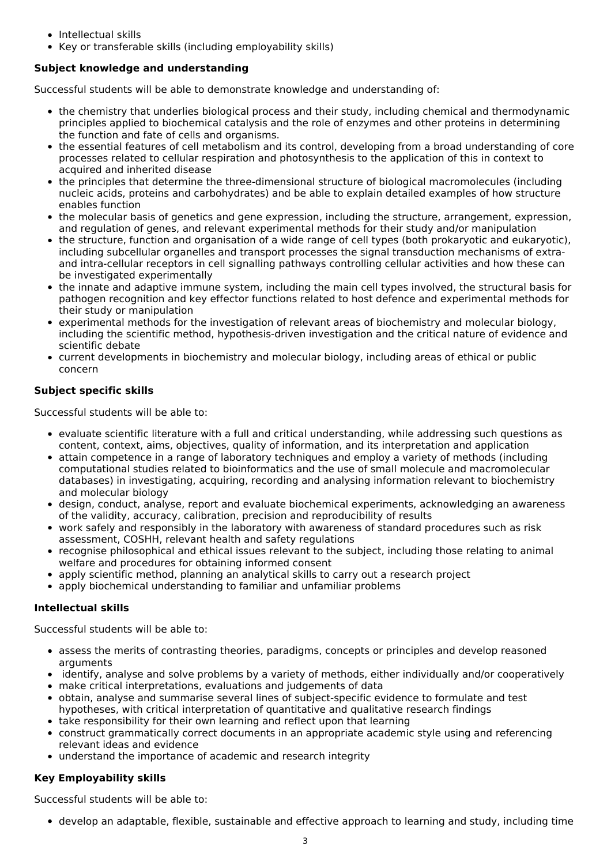- Intellectual skills
- Key or transferable skills (including employability skills)

#### **Subject knowledge and understanding**

Successful students will be able to demonstrate knowledge and understanding of:

- the chemistry that underlies biological process and their study, including chemical and thermodynamic principles applied to biochemical catalysis and the role of enzymes and other proteins in determining the function and fate of cells and organisms.
- the essential features of cell metabolism and its control, developing from a broad understanding of core processes related to cellular respiration and photosynthesis to the application of this in context to acquired and inherited disease
- the principles that determine the three-dimensional structure of biological macromolecules (including nucleic acids, proteins and carbohydrates) and be able to explain detailed examples of how structure enables function
- the molecular basis of genetics and gene expression, including the structure, arrangement, expression, and regulation of genes, and relevant experimental methods for their study and/or manipulation
- the structure, function and organisation of a wide range of cell types (both prokaryotic and eukaryotic), including subcellular organelles and transport processes the signal transduction mechanisms of extraand intra-cellular receptors in cell signalling pathways controlling cellular activities and how these can be investigated experimentally
- the innate and adaptive immune system, including the main cell types involved, the structural basis for pathogen recognition and key effector functions related to host defence and experimental methods for their study or manipulation
- experimental methods for the investigation of relevant areas of biochemistry and molecular biology, including the scientific method, hypothesis-driven investigation and the critical nature of evidence and scientific debate
- current developments in biochemistry and molecular biology, including areas of ethical or public concern

#### **Subject specific skills**

Successful students will be able to:

- evaluate scientific literature with a full and critical understanding, while addressing such questions as content, context, aims, objectives, quality of information, and its interpretation and application
- attain competence in a range of laboratory techniques and employ a variety of methods (including computational studies related to bioinformatics and the use of small molecule and macromolecular databases) in investigating, acquiring, recording and analysing information relevant to biochemistry and molecular biology
- design, conduct, analyse, report and evaluate biochemical experiments, acknowledging an awareness of the validity, accuracy, calibration, precision and reproducibility of results
- work safely and responsibly in the laboratory with awareness of standard procedures such as risk assessment, COSHH, relevant health and safety regulations
- recognise philosophical and ethical issues relevant to the subject, including those relating to animal welfare and procedures for obtaining informed consent
- apply scientific method, planning an analytical skills to carry out a research project
- apply biochemical understanding to familiar and unfamiliar problems

#### **Intellectual skills**

Successful students will be able to:

- assess the merits of contrasting theories, paradigms, concepts or principles and develop reasoned arguments
- identify, analyse and solve problems by a variety of methods, either individually and/or cooperatively
- make critical interpretations, evaluations and judgements of data
- obtain, analyse and summarise several lines of subject-specific evidence to formulate and test hypotheses, with critical interpretation of quantitative and qualitative research findings
- take responsibility for their own learning and reflect upon that learning
- construct grammatically correct documents in an appropriate academic style using and referencing relevant ideas and evidence
- understand the importance of academic and research integrity

#### **Key Employability skills**

Successful students will be able to:

develop an adaptable, flexible, sustainable and effective approach to learning and study, including time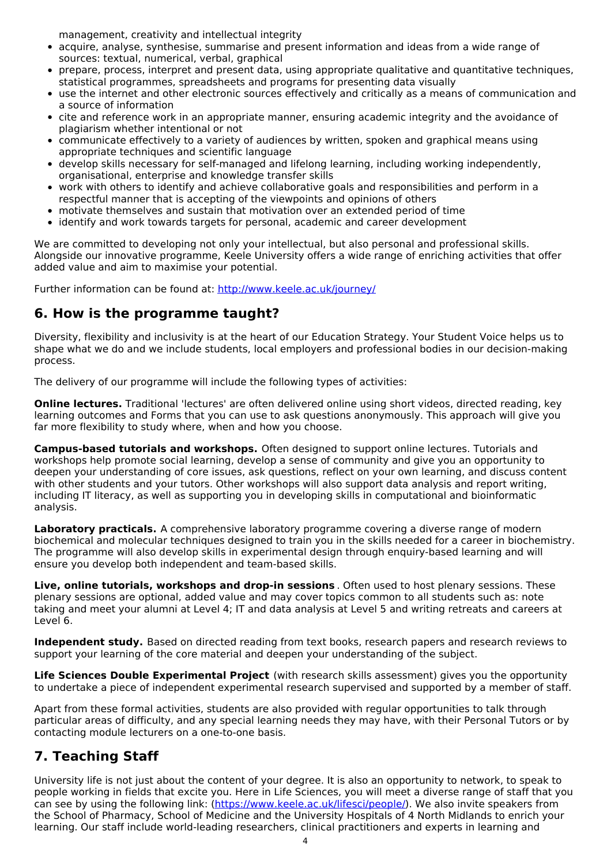management, creativity and intellectual integrity

- acquire, analyse, synthesise, summarise and present information and ideas from a wide range of sources: textual, numerical, verbal, graphical
- prepare, process, interpret and present data, using appropriate qualitative and quantitative techniques, statistical programmes, spreadsheets and programs for presenting data visually
- use the internet and other electronic sources effectively and critically as a means of communication and a source of information
- cite and reference work in an appropriate manner, ensuring academic integrity and the avoidance of plagiarism whether intentional or not
- communicate effectively to a variety of audiences by written, spoken and graphical means using appropriate techniques and scientific language
- develop skills necessary for self-managed and lifelong learning, including working independently, organisational, enterprise and knowledge transfer skills
- work with others to identify and achieve collaborative goals and responsibilities and perform in a respectful manner that is accepting of the viewpoints and opinions of others
- motivate themselves and sustain that motivation over an extended period of time
- identify and work towards targets for personal, academic and career development

We are committed to developing not only your intellectual, but also personal and professional skills. Alongside our innovative programme, Keele University offers a wide range of enriching activities that offer added value and aim to maximise your potential.

Further information can be found at: <http://www.keele.ac.uk/journey/>

### **6. How is the programme taught?**

Diversity, flexibility and inclusivity is at the heart of our Education Strategy. Your Student Voice helps us to shape what we do and we include students, local employers and professional bodies in our decision-making process.

The delivery of our programme will include the following types of activities:

**Online lectures.** Traditional 'lectures' are often delivered online using short videos, directed reading, key learning outcomes and Forms that you can use to ask questions anonymously. This approach will give you far more flexibility to study where, when and how you choose.

**Campus-based tutorials and workshops.** Often designed to support online lectures. Tutorials and workshops help promote social learning, develop a sense of community and give you an opportunity to deepen your understanding of core issues, ask questions, reflect on your own learning, and discuss content with other students and your tutors. Other workshops will also support data analysis and report writing, including IT literacy, as well as supporting you in developing skills in computational and bioinformatic analysis.

**Laboratory practicals.** A comprehensive laboratory programme covering a diverse range of modern biochemical and molecular techniques designed to train you in the skills needed for a career in biochemistry. The programme will also develop skills in experimental design through enquiry-based learning and will ensure you develop both independent and team-based skills.

**Live, online tutorials, workshops and drop-in sessions** . Often used to host plenary sessions. These plenary sessions are optional, added value and may cover topics common to all students such as: note taking and meet your alumni at Level 4; IT and data analysis at Level 5 and writing retreats and careers at Level 6.

**Independent study.** Based on directed reading from text books, research papers and research reviews to support your learning of the core material and deepen your understanding of the subject.

**Life Sciences Double Experimental Project** (with research skills assessment) gives you the opportunity to undertake a piece of independent experimental research supervised and supported by a member of staff.

Apart from these formal activities, students are also provided with regular opportunities to talk through particular areas of difficulty, and any special learning needs they may have, with their Personal Tutors or by contacting module lecturers on a one-to-one basis.

## **7. Teaching Staff**

University life is not just about the content of your degree. It is also an opportunity to network, to speak to people working in fields that excite you. Here in Life Sciences, you will meet a diverse range of staff that you can see by using the following link: [\(https://www.keele.ac.uk/lifesci/people/](https://www.keele.ac.uk/lifesci/people/)). We also invite speakers from the School of Pharmacy, School of Medicine and the University Hospitals of 4 North Midlands to enrich your learning. Our staff include world-leading researchers, clinical practitioners and experts in learning and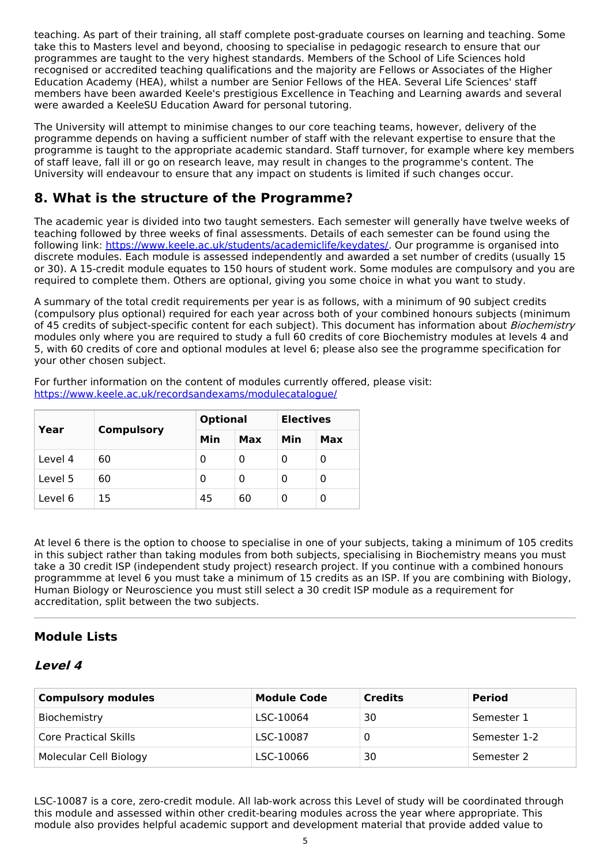teaching. As part of their training, all staff complete post-graduate courses on learning and teaching. Some take this to Masters level and beyond, choosing to specialise in pedagogic research to ensure that our programmes are taught to the very highest standards. Members of the School of Life Sciences hold recognised or accredited teaching qualifications and the majority are Fellows or Associates of the Higher Education Academy (HEA), whilst a number are Senior Fellows of the HEA. Several Life Sciences' staff members have been awarded Keele's prestigious Excellence in Teaching and Learning awards and several were awarded a KeeleSU Education Award for personal tutoring.

The University will attempt to minimise changes to our core teaching teams, however, delivery of the programme depends on having a sufficient number of staff with the relevant expertise to ensure that the programme is taught to the appropriate academic standard. Staff turnover, for example where key members of staff leave, fall ill or go on research leave, may result in changes to the programme's content. The University will endeavour to ensure that any impact on students is limited if such changes occur.

## **8. What is the structure of the Programme?**

The academic year is divided into two taught semesters. Each semester will generally have twelve weeks of teaching followed by three weeks of final assessments. Details of each semester can be found using the following link: <https://www.keele.ac.uk/students/academiclife/keydates/>. Our programme is organised into discrete modules. Each module is assessed independently and awarded a set number of credits (usually 15 or 30). A 15-credit module equates to 150 hours of student work. Some modules are compulsory and you are required to complete them. Others are optional, giving you some choice in what you want to study.

A summary of the total credit requirements per year is as follows, with a minimum of 90 subject credits (compulsory plus optional) required for each year across both of your combined honours subjects (minimum of 45 credits of subject-specific content for each subject). This document has information about *Biochemistry* modules only where you are required to study a full 60 credits of core Biochemistry modules at levels 4 and 5, with 60 credits of core and optional modules at level 6; please also see the programme specification for your other chosen subject.

For further information on the content of modules currently offered, please visit: <https://www.keele.ac.uk/recordsandexams/modulecatalogue/>

| Year    | <b>Compulsory</b> | <b>Optional</b> |     | <b>Electives</b> |     |
|---------|-------------------|-----------------|-----|------------------|-----|
|         |                   | Min             | Max | Min              | Max |
| Level 4 | 60                | 0               | 0   | 0                | 0   |
| Level 5 | 60                | 0               | 0   | 0                | 0   |
| Level 6 | 15                | 45              | 60  | Ω                | 0   |

At level 6 there is the option to choose to specialise in one of your subjects, taking a minimum of 105 credits in this subject rather than taking modules from both subjects, specialising in Biochemistry means you must take a 30 credit ISP (independent study project) research project. If you continue with a combined honours programmme at level 6 you must take a minimum of 15 credits as an ISP. If you are combining with Biology, Human Biology or Neuroscience you must still select a 30 credit ISP module as a requirement for accreditation, split between the two subjects.

### **Module Lists**

### **Level 4**

| <b>Compulsory modules</b> | <b>Module Code</b> | <b>Credits</b> | <b>Period</b> |
|---------------------------|--------------------|----------------|---------------|
| Biochemistry              | LSC-10064          | 30             | Semester 1    |
| Core Practical Skills     | LSC-10087          |                | Semester 1-2  |
| Molecular Cell Biology    | LSC-10066          | 30             | Semester 2    |

LSC-10087 is a core, zero-credit module. All lab-work across this Level of study will be coordinated through this module and assessed within other credit-bearing modules across the year where appropriate. This module also provides helpful academic support and development material that provide added value to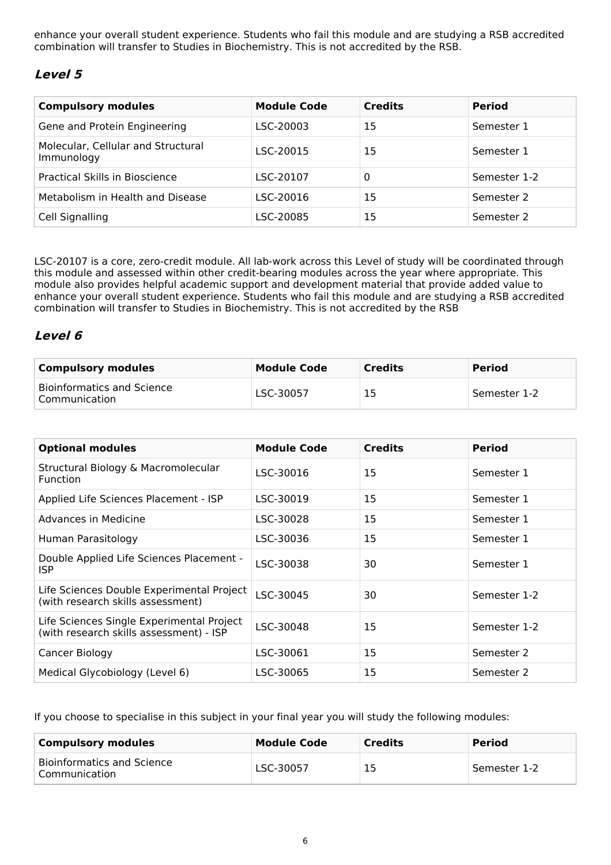enhance your overall student experience. Students who fail this module and are studying a RSB accredited combination will transfer to Studies in Biochemistry. This is not accredited by the RSB.

### **Level 5**

| <b>Compulsory modules</b>                        | <b>Module Code</b> | <b>Credits</b> | <b>Period</b> |
|--------------------------------------------------|--------------------|----------------|---------------|
| Gene and Protein Engineering                     | LSC-20003          | 15             | Semester 1    |
| Molecular, Cellular and Structural<br>Immunology | LSC-20015          | 15             | Semester 1    |
| Practical Skills in Bioscience                   | LSC-20107          | 0              | Semester 1-2  |
| Metabolism in Health and Disease                 | LSC-20016          | 15             | Semester 2    |
| Cell Signalling                                  | LSC-20085          | 15             | Semester 2    |

LSC-20107 is a core, zero-credit module. All lab-work across this Level of study will be coordinated through this module and assessed within other credit-bearing modules across the year where appropriate. This module also provides helpful academic support and development material that provide added value to enhance your overall student experience. Students who fail this module and are studying a RSB accredited combination will transfer to Studies in Biochemistry. This is not accredited by the RSB

### **Level 6**

| <b>Compulsory modules</b>                            | Module Code | <b>Credits</b> | <b>Period</b> |
|------------------------------------------------------|-------------|----------------|---------------|
| <b>Bioinformatics and Science</b><br>' Communication | LSC-30057   | 15             | Semester 1-2  |

| <b>Optional modules</b>                                                              | <b>Module Code</b> | <b>Credits</b> | <b>Period</b> |
|--------------------------------------------------------------------------------------|--------------------|----------------|---------------|
| Structural Biology & Macromolecular<br><b>Function</b>                               | LSC-30016          | 15             | Semester 1    |
| Applied Life Sciences Placement - ISP                                                | LSC-30019          | 15             | Semester 1    |
| Advances in Medicine                                                                 | LSC-30028          | 15             | Semester 1    |
| Human Parasitology                                                                   | LSC-30036          | 15             | Semester 1    |
| Double Applied Life Sciences Placement -<br><b>ISP</b>                               | LSC-30038          | 30             | Semester 1    |
| Life Sciences Double Experimental Project<br>(with research skills assessment)       | LSC-30045          | 30             | Semester 1-2  |
| Life Sciences Single Experimental Project<br>(with research skills assessment) - ISP | LSC-30048          | 15             | Semester 1-2  |
| Cancer Biology                                                                       | LSC-30061          | 15             | Semester 2    |
| Medical Glycobiology (Level 6)                                                       | LSC-30065          | 15             | Semester 2    |

If you choose to specialise in this subject in your final year you will study the following modules:

| <b>Compulsory modules</b>                   | <b>Module Code</b> | <b>Credits</b> | <b>Period</b> |
|---------------------------------------------|--------------------|----------------|---------------|
| Bioinformatics and Science<br>Communication | LSC-30057          | 15             | Semester 1-2  |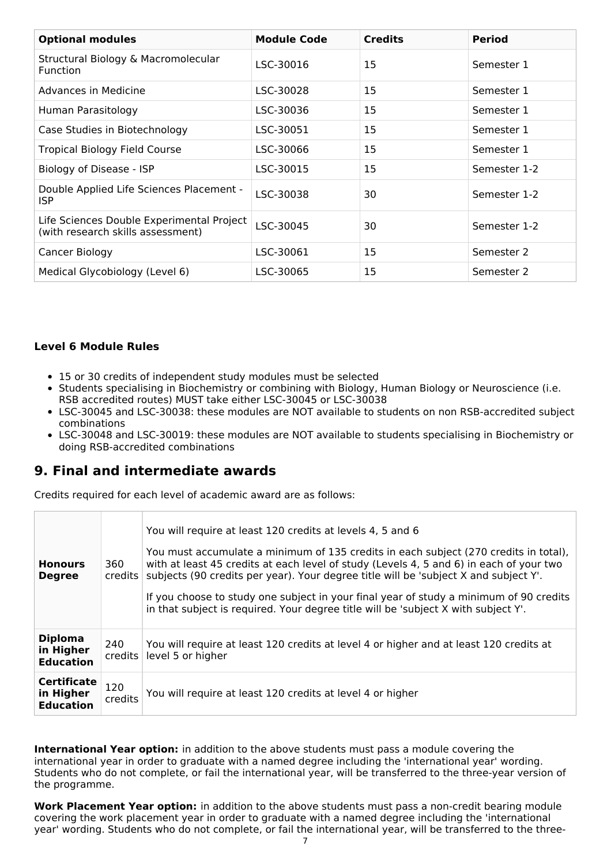| <b>Optional modules</b>                                                        | <b>Module Code</b> | <b>Credits</b> | <b>Period</b> |
|--------------------------------------------------------------------------------|--------------------|----------------|---------------|
| Structural Biology & Macromolecular<br><b>Function</b>                         | LSC-30016          | 15             | Semester 1    |
| Advances in Medicine                                                           | LSC-30028          | 15             | Semester 1    |
| Human Parasitology                                                             | LSC-30036          | 15             | Semester 1    |
| Case Studies in Biotechnology                                                  | LSC-30051          | 15             | Semester 1    |
| <b>Tropical Biology Field Course</b>                                           | LSC-30066          | 15             | Semester 1    |
| Biology of Disease - ISP                                                       | LSC-30015          | 15             | Semester 1-2  |
| Double Applied Life Sciences Placement -<br><b>ISP</b>                         | LSC-30038          | 30             | Semester 1-2  |
| Life Sciences Double Experimental Project<br>(with research skills assessment) | LSC-30045          | 30             | Semester 1-2  |
| Cancer Biology                                                                 | LSC-30061          | 15             | Semester 2    |
| Medical Glycobiology (Level 6)                                                 | LSC-30065          | 15             | Semester 2    |

#### **Level 6 Module Rules**

- 15 or 30 credits of independent study modules must be selected
- Students specialising in Biochemistry or combining with Biology, Human Biology or Neuroscience (i.e. RSB accredited routes) MUST take either LSC-30045 or LSC-30038
- LSC-30045 and LSC-30038: these modules are NOT available to students on non RSB-accredited subject combinations
- LSC-30048 and LSC-30019: these modules are NOT available to students specialising in Biochemistry or doing RSB-accredited combinations

### **9. Final and intermediate awards**

Credits required for each level of academic award are as follows:

| <b>Honours</b><br><b>Degree</b>                     | 360<br>credits    | You will require at least 120 credits at levels 4, 5 and 6<br>You must accumulate a minimum of 135 credits in each subject (270 credits in total),<br>with at least 45 credits at each level of study (Levels 4, 5 and 6) in each of your two<br>subjects (90 credits per year). Your degree title will be 'subject X and subject Y'.<br>If you choose to study one subject in your final year of study a minimum of 90 credits<br>in that subject is required. Your degree title will be 'subject X with subject Y'. |
|-----------------------------------------------------|-------------------|-----------------------------------------------------------------------------------------------------------------------------------------------------------------------------------------------------------------------------------------------------------------------------------------------------------------------------------------------------------------------------------------------------------------------------------------------------------------------------------------------------------------------|
| <b>Diploma</b><br>in Higher<br><b>Education</b>     | 240<br>$c$ redits | You will require at least 120 credits at level 4 or higher and at least 120 credits at<br>level 5 or higher                                                                                                                                                                                                                                                                                                                                                                                                           |
| <b>Certificate</b><br>in Higher<br><b>Education</b> | 120<br>credits    | You will require at least 120 credits at level 4 or higher                                                                                                                                                                                                                                                                                                                                                                                                                                                            |

**International Year option:** in addition to the above students must pass a module covering the international year in order to graduate with a named degree including the 'international year' wording. Students who do not complete, or fail the international year, will be transferred to the three-year version of the programme.

**Work Placement Year option:** in addition to the above students must pass a non-credit bearing module covering the work placement year in order to graduate with a named degree including the 'international year' wording. Students who do not complete, or fail the international year, will be transferred to the three-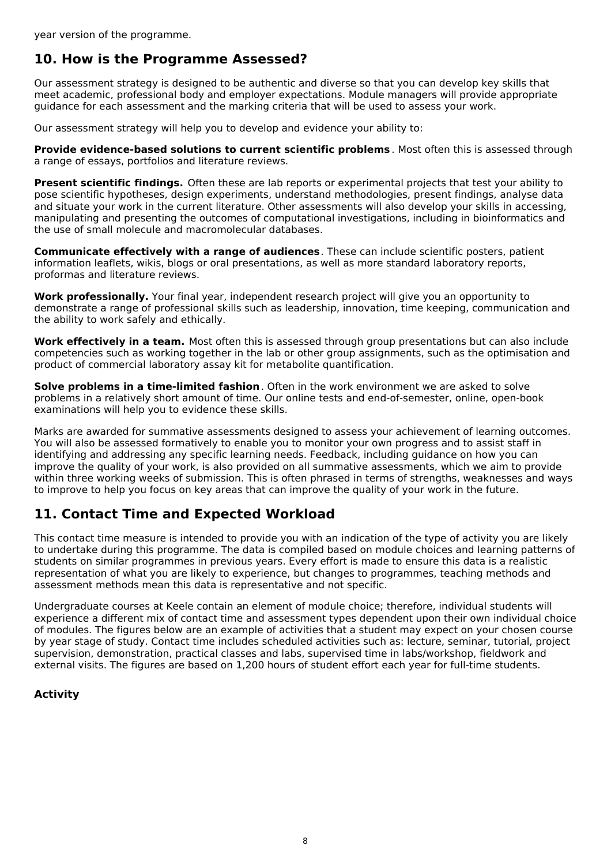## **10. How is the Programme Assessed?**

Our assessment strategy is designed to be authentic and diverse so that you can develop key skills that meet academic, professional body and employer expectations. Module managers will provide appropriate guidance for each assessment and the marking criteria that will be used to assess your work.

Our assessment strategy will help you to develop and evidence your ability to:

**Provide evidence-based solutions to current scientific problems** . Most often this is assessed through a range of essays, portfolios and literature reviews.

**Present scientific findings.** Often these are lab reports or experimental projects that test your ability to pose scientific hypotheses, design experiments, understand methodologies, present findings, analyse data and situate your work in the current literature. Other assessments will also develop your skills in accessing, manipulating and presenting the outcomes of computational investigations, including in bioinformatics and the use of small molecule and macromolecular databases.

**Communicate effectively with a range of audiences**. These can include scientific posters, patient information leaflets, wikis, blogs or oral presentations, as well as more standard laboratory reports, proformas and literature reviews.

**Work professionally.** Your final year, independent research project will give you an opportunity to demonstrate a range of professional skills such as leadership, innovation, time keeping, communication and the ability to work safely and ethically.

**Work effectively in a team.** Most often this is assessed through group presentations but can also include competencies such as working together in the lab or other group assignments, such as the optimisation and product of commercial laboratory assay kit for metabolite quantification.

**Solve problems in a time-limited fashion**. Often in the work environment we are asked to solve problems in a relatively short amount of time. Our online tests and end-of-semester, online, open-book examinations will help you to evidence these skills.

Marks are awarded for summative assessments designed to assess your achievement of learning outcomes. You will also be assessed formatively to enable you to monitor your own progress and to assist staff in identifying and addressing any specific learning needs. Feedback, including guidance on how you can improve the quality of your work, is also provided on all summative assessments, which we aim to provide within three working weeks of submission. This is often phrased in terms of strengths, weaknesses and ways to improve to help you focus on key areas that can improve the quality of your work in the future.

## **11. Contact Time and Expected Workload**

This contact time measure is intended to provide you with an indication of the type of activity you are likely to undertake during this programme. The data is compiled based on module choices and learning patterns of students on similar programmes in previous years. Every effort is made to ensure this data is a realistic representation of what you are likely to experience, but changes to programmes, teaching methods and assessment methods mean this data is representative and not specific.

Undergraduate courses at Keele contain an element of module choice; therefore, individual students will experience a different mix of contact time and assessment types dependent upon their own individual choice of modules. The figures below are an example of activities that a student may expect on your chosen course by year stage of study. Contact time includes scheduled activities such as: lecture, seminar, tutorial, project supervision, demonstration, practical classes and labs, supervised time in labs/workshop, fieldwork and external visits. The figures are based on 1,200 hours of student effort each year for full-time students.

### **Activity**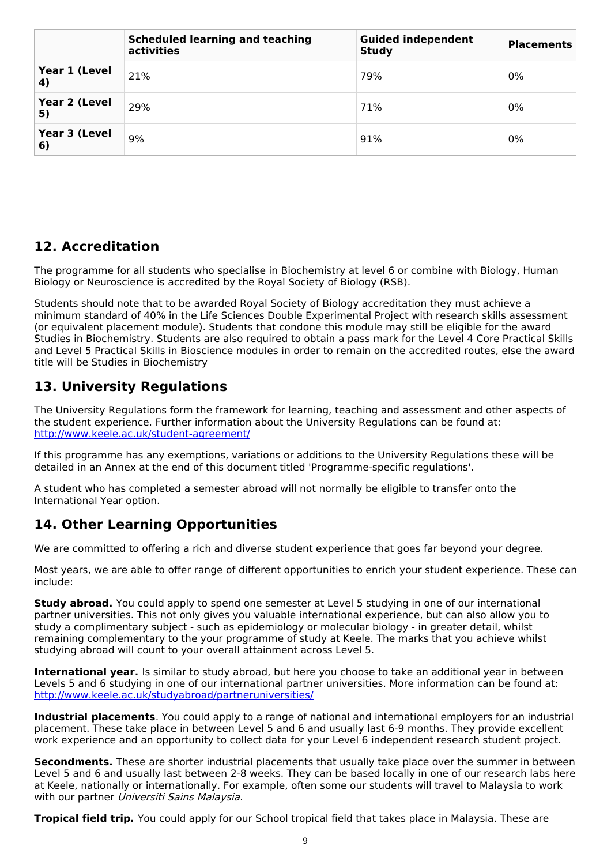|                     | <b>Scheduled learning and teaching</b><br>activities | <b>Guided independent</b><br><b>Study</b> | <b>Placements</b> |
|---------------------|------------------------------------------------------|-------------------------------------------|-------------------|
| Year 1 (Level<br>4) | 21%                                                  | 79%                                       | 0%                |
| Year 2 (Level<br>5) | 29%                                                  | 71%                                       | $0\%$             |
| Year 3 (Level<br>6) | 9%                                                   | 91%                                       | 0%                |

## **12. Accreditation**

The programme for all students who specialise in Biochemistry at level 6 or combine with Biology, Human Biology or Neuroscience is accredited by the Royal Society of Biology (RSB).

Students should note that to be awarded Royal Society of Biology accreditation they must achieve a minimum standard of 40% in the Life Sciences Double Experimental Project with research skills assessment (or equivalent placement module). Students that condone this module may still be eligible for the award Studies in Biochemistry. Students are also required to obtain a pass mark for the Level 4 Core Practical Skills and Level 5 Practical Skills in Bioscience modules in order to remain on the accredited routes, else the award title will be Studies in Biochemistry

## **13. University Regulations**

The University Regulations form the framework for learning, teaching and assessment and other aspects of the student experience. Further information about the University Regulations can be found at: <http://www.keele.ac.uk/student-agreement/>

If this programme has any exemptions, variations or additions to the University Regulations these will be detailed in an Annex at the end of this document titled 'Programme-specific regulations'.

A student who has completed a semester abroad will not normally be eligible to transfer onto the International Year option.

## **14. Other Learning Opportunities**

We are committed to offering a rich and diverse student experience that goes far beyond your degree.

Most years, we are able to offer range of different opportunities to enrich your student experience. These can include:

**Study abroad.** You could apply to spend one semester at Level 5 studying in one of our international partner universities. This not only gives you valuable international experience, but can also allow you to study a complimentary subject - such as epidemiology or molecular biology - in greater detail, whilst remaining complementary to the your programme of study at Keele. The marks that you achieve whilst studying abroad will count to your overall attainment across Level 5.

**International year.** Is similar to study abroad, but here you choose to take an additional year in between Levels 5 and 6 studying in one of our international partner universities. More information can be found at: <http://www.keele.ac.uk/studyabroad/partneruniversities/>

**Industrial placements**. You could apply to a range of national and international employers for an industrial placement. These take place in between Level 5 and 6 and usually last 6-9 months. They provide excellent work experience and an opportunity to collect data for your Level 6 independent research student project.

**Secondments.** These are shorter industrial placements that usually take place over the summer in between Level 5 and 6 and usually last between 2-8 weeks. They can be based locally in one of our research labs here at Keele, nationally or internationally. For example, often some our students will travel to Malaysia to work with our partner Universiti Sains Malaysia.

**Tropical field trip.** You could apply for our School tropical field that takes place in Malaysia. These are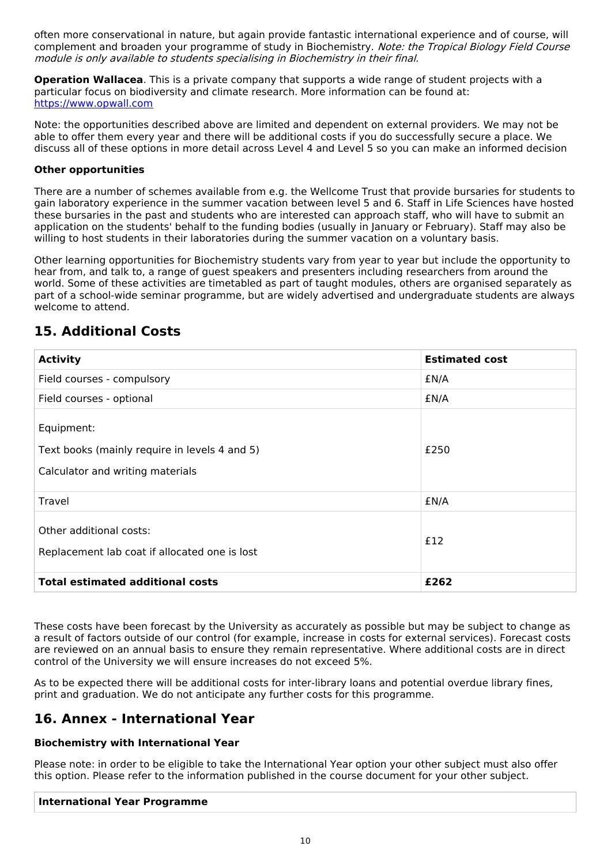often more conservational in nature, but again provide fantastic international experience and of course, will complement and broaden your programme of study in Biochemistry. Note: the Tropical Biology Field Course module is only available to students specialising in Biochemistry in their final.

**Operation Wallacea**. This is a private company that supports a wide range of student projects with a particular focus on biodiversity and climate research. More information can be found at: <https://www.opwall.com>

Note: the opportunities described above are limited and dependent on external providers. We may not be able to offer them every year and there will be additional costs if you do successfully secure a place. We discuss all of these options in more detail across Level 4 and Level 5 so you can make an informed decision

#### **Other opportunities**

There are a number of schemes available from e.g. the Wellcome Trust that provide bursaries for students to gain laboratory experience in the summer vacation between level 5 and 6. Staff in Life Sciences have hosted these bursaries in the past and students who are interested can approach staff, who will have to submit an application on the students' behalf to the funding bodies (usually in January or February). Staff may also be willing to host students in their laboratories during the summer vacation on a voluntary basis.

Other learning opportunities for Biochemistry students vary from year to year but include the opportunity to hear from, and talk to, a range of guest speakers and presenters including researchers from around the world. Some of these activities are timetabled as part of taught modules, others are organised separately as part of a school-wide seminar programme, but are widely advertised and undergraduate students are always welcome to attend.

## **15. Additional Costs**

| <b>Activity</b>                                                                                 | <b>Estimated cost</b> |
|-------------------------------------------------------------------------------------------------|-----------------------|
| Field courses - compulsory                                                                      | £N/A                  |
| Field courses - optional                                                                        | £N/A                  |
| Equipment:<br>Text books (mainly require in levels 4 and 5)<br>Calculator and writing materials | £250                  |
| Travel                                                                                          | £N/A                  |
| Other additional costs:<br>Replacement lab coat if allocated one is lost                        | £12                   |
| <b>Total estimated additional costs</b>                                                         | £262                  |

These costs have been forecast by the University as accurately as possible but may be subject to change as a result of factors outside of our control (for example, increase in costs for external services). Forecast costs are reviewed on an annual basis to ensure they remain representative. Where additional costs are in direct control of the University we will ensure increases do not exceed 5%.

As to be expected there will be additional costs for inter-library loans and potential overdue library fines, print and graduation. We do not anticipate any further costs for this programme.

## **16. Annex - International Year**

#### **Biochemistry with International Year**

Please note: in order to be eligible to take the International Year option your other subject must also offer this option. Please refer to the information published in the course document for your other subject.

#### **International Year Programme**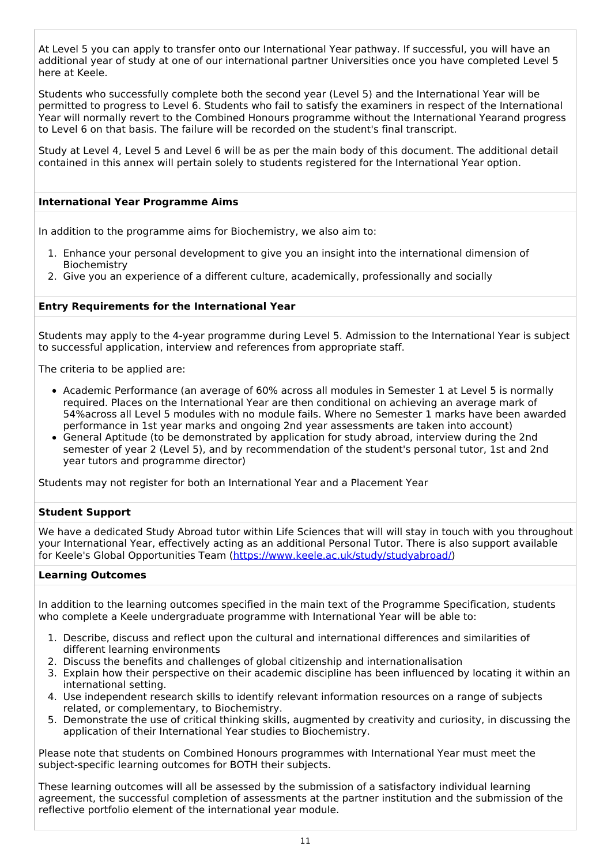At Level 5 you can apply to transfer onto our International Year pathway. If successful, you will have an additional year of study at one of our international partner Universities once you have completed Level 5 here at Keele.

Students who successfully complete both the second year (Level 5) and the International Year will be permitted to progress to Level 6. Students who fail to satisfy the examiners in respect of the International Year will normally revert to the Combined Honours programme without the International Yearand progress to Level 6 on that basis. The failure will be recorded on the student's final transcript.

Study at Level 4, Level 5 and Level 6 will be as per the main body of this document. The additional detail contained in this annex will pertain solely to students registered for the International Year option.

#### **International Year Programme Aims**

In addition to the programme aims for Biochemistry, we also aim to:

- 1. Enhance your personal development to give you an insight into the international dimension of Biochemistry
- 2. Give you an experience of a different culture, academically, professionally and socially

#### **Entry Requirements for the International Year**

Students may apply to the 4-year programme during Level 5. Admission to the International Year is subject to successful application, interview and references from appropriate staff.

The criteria to be applied are:

- Academic Performance (an average of 60% across all modules in Semester 1 at Level 5 is normally required. Places on the International Year are then conditional on achieving an average mark of 54%across all Level 5 modules with no module fails. Where no Semester 1 marks have been awarded performance in 1st year marks and ongoing 2nd year assessments are taken into account)
- General Aptitude (to be demonstrated by application for study abroad, interview during the 2nd semester of year 2 (Level 5), and by recommendation of the student's personal tutor, 1st and 2nd year tutors and programme director)

Students may not register for both an International Year and a Placement Year

#### **Student Support**

We have a dedicated Study Abroad tutor within Life Sciences that will will stay in touch with you throughout your International Year, effectively acting as an additional Personal Tutor. There is also support available for Keele's Global Opportunities Team [\(https://www.keele.ac.uk/study/studyabroad/](https://www.keele.ac.uk/study/studyabroad/))

#### **Learning Outcomes**

In addition to the learning outcomes specified in the main text of the Programme Specification, students who complete a Keele undergraduate programme with International Year will be able to:

- 1. Describe, discuss and reflect upon the cultural and international differences and similarities of different learning environments
- 2. Discuss the benefits and challenges of global citizenship and internationalisation
- 3. Explain how their perspective on their academic discipline has been influenced by locating it within an international setting.
- 4. Use independent research skills to identify relevant information resources on a range of subjects related, or complementary, to Biochemistry.
- 5. Demonstrate the use of critical thinking skills, augmented by creativity and curiosity, in discussing the application of their International Year studies to Biochemistry.

Please note that students on Combined Honours programmes with International Year must meet the subject-specific learning outcomes for BOTH their subjects.

These learning outcomes will all be assessed by the submission of a satisfactory individual learning agreement, the successful completion of assessments at the partner institution and the submission of the reflective portfolio element of the international year module.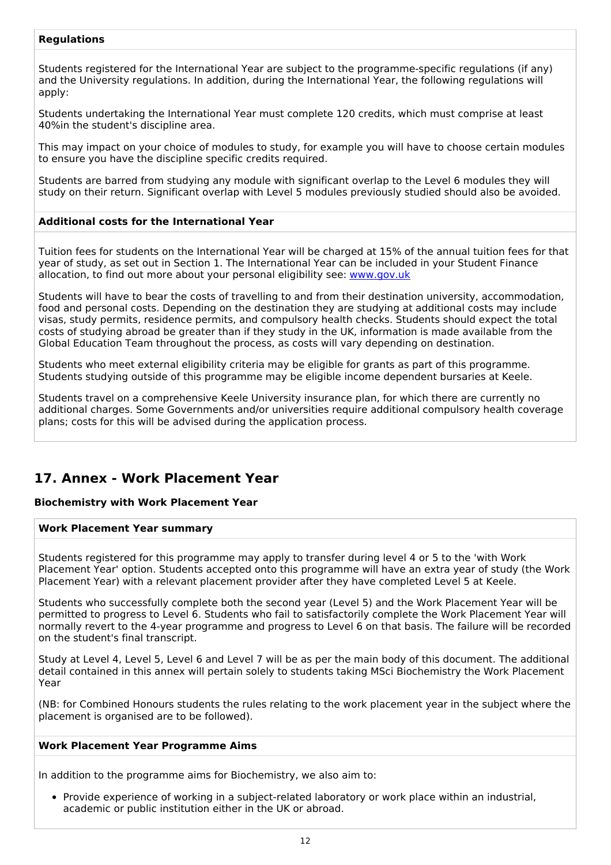#### **Regulations**

Students registered for the International Year are subject to the programme-specific regulations (if any) and the University regulations. In addition, during the International Year, the following regulations will apply:

Students undertaking the International Year must complete 120 credits, which must comprise at least 40%in the student's discipline area.

This may impact on your choice of modules to study, for example you will have to choose certain modules to ensure you have the discipline specific credits required.

Students are barred from studying any module with significant overlap to the Level 6 modules they will study on their return. Significant overlap with Level 5 modules previously studied should also be avoided.

#### **Additional costs for the International Year**

Tuition fees for students on the International Year will be charged at 15% of the annual tuition fees for that year of study, as set out in Section 1. The International Year can be included in your Student Finance allocation, to find out more about your personal eligibility see: [www.gov.uk](http://www.gov.uk/)

Students will have to bear the costs of travelling to and from their destination university, accommodation, food and personal costs. Depending on the destination they are studying at additional costs may include visas, study permits, residence permits, and compulsory health checks. Students should expect the total costs of studying abroad be greater than if they study in the UK, information is made available from the Global Education Team throughout the process, as costs will vary depending on destination.

Students who meet external eligibility criteria may be eligible for grants as part of this programme. Students studying outside of this programme may be eligible income dependent bursaries at Keele.

Students travel on a comprehensive Keele University insurance plan, for which there are currently no additional charges. Some Governments and/or universities require additional compulsory health coverage plans; costs for this will be advised during the application process.

### **17. Annex - Work Placement Year**

#### **Biochemistry with Work Placement Year**

#### **Work Placement Year summary**

Students registered for this programme may apply to transfer during level 4 or 5 to the 'with Work Placement Year' option. Students accepted onto this programme will have an extra year of study (the Work Placement Year) with a relevant placement provider after they have completed Level 5 at Keele.

Students who successfully complete both the second year (Level 5) and the Work Placement Year will be permitted to progress to Level 6. Students who fail to satisfactorily complete the Work Placement Year will normally revert to the 4-year programme and progress to Level 6 on that basis. The failure will be recorded on the student's final transcript.

Study at Level 4, Level 5, Level 6 and Level 7 will be as per the main body of this document. The additional detail contained in this annex will pertain solely to students taking MSci Biochemistry the Work Placement Year

(NB: for Combined Honours students the rules relating to the work placement year in the subject where the placement is organised are to be followed).

#### **Work Placement Year Programme Aims**

In addition to the programme aims for Biochemistry, we also aim to:

Provide experience of working in a subject-related laboratory or work place within an industrial, academic or public institution either in the UK or abroad.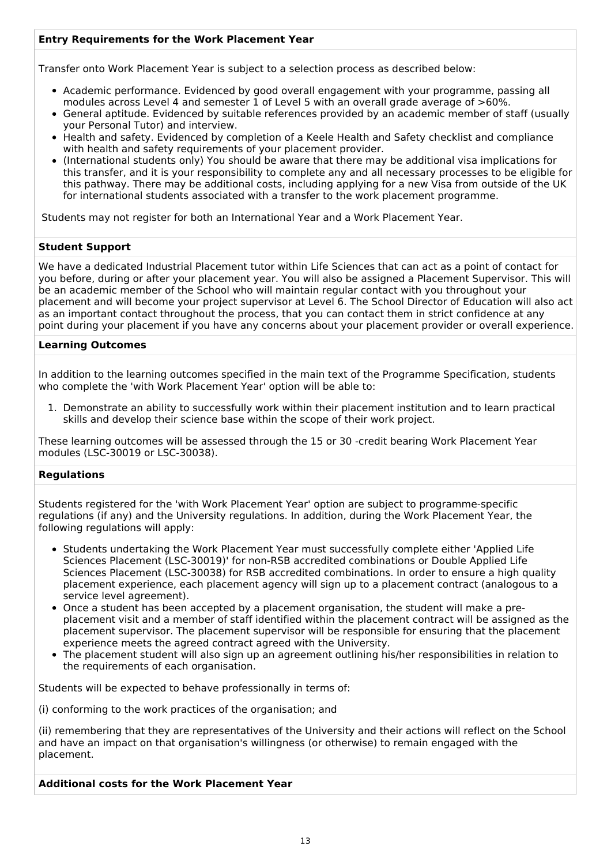#### **Entry Requirements for the Work Placement Year**

Transfer onto Work Placement Year is subject to a selection process as described below:

- Academic performance. Evidenced by good overall engagement with your programme, passing all modules across Level 4 and semester 1 of Level 5 with an overall grade average of >60%.
- General aptitude. Evidenced by suitable references provided by an academic member of staff (usually your Personal Tutor) and interview.
- Health and safety. Evidenced by completion of a Keele Health and Safety checklist and compliance with health and safety requirements of your placement provider.
- (International students only) You should be aware that there may be additional visa implications for this transfer, and it is your responsibility to complete any and all necessary processes to be eligible for this pathway. There may be additional costs, including applying for a new Visa from outside of the UK for international students associated with a transfer to the work placement programme.

Students may not register for both an International Year and a Work Placement Year.

#### **Student Support**

We have a dedicated Industrial Placement tutor within Life Sciences that can act as a point of contact for you before, during or after your placement year. You will also be assigned a Placement Supervisor. This will be an academic member of the School who will maintain regular contact with you throughout your placement and will become your project supervisor at Level 6. The School Director of Education will also act as an important contact throughout the process, that you can contact them in strict confidence at any point during your placement if you have any concerns about your placement provider or overall experience.

#### **Learning Outcomes**

In addition to the learning outcomes specified in the main text of the Programme Specification, students who complete the 'with Work Placement Year' option will be able to:

1. Demonstrate an ability to successfully work within their placement institution and to learn practical skills and develop their science base within the scope of their work project.

These learning outcomes will be assessed through the 15 or 30 -credit bearing Work Placement Year modules (LSC-30019 or LSC-30038).

#### **Regulations**

Students registered for the 'with Work Placement Year' option are subject to programme-specific regulations (if any) and the University regulations. In addition, during the Work Placement Year, the following regulations will apply:

- Students undertaking the Work Placement Year must successfully complete either 'Applied Life Sciences Placement (LSC-30019)' for non-RSB accredited combinations or Double Applied Life Sciences Placement (LSC-30038) for RSB accredited combinations. In order to ensure a high quality placement experience, each placement agency will sign up to a placement contract (analogous to a service level agreement).
- Once a student has been accepted by a placement organisation, the student will make a preplacement visit and a member of staff identified within the placement contract will be assigned as the placement supervisor. The placement supervisor will be responsible for ensuring that the placement experience meets the agreed contract agreed with the University.
- The placement student will also sign up an agreement outlining his/her responsibilities in relation to the requirements of each organisation.

Students will be expected to behave professionally in terms of:

(i) conforming to the work practices of the organisation; and

(ii) remembering that they are representatives of the University and their actions will reflect on the School and have an impact on that organisation's willingness (or otherwise) to remain engaged with the placement.

#### **Additional costs for the Work Placement Year**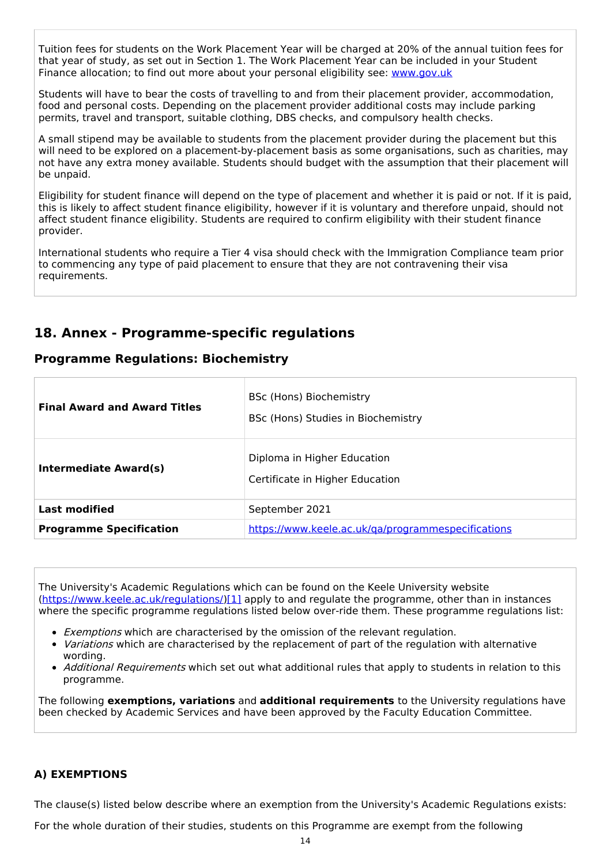Tuition fees for students on the Work Placement Year will be charged at 20% of the annual tuition fees for that year of study, as set out in Section 1. The Work Placement Year can be included in your Student Finance allocation; to find out more about your personal eligibility see: [www.gov.uk](http://www.gov.uk/)

Students will have to bear the costs of travelling to and from their placement provider, accommodation, food and personal costs. Depending on the placement provider additional costs may include parking permits, travel and transport, suitable clothing, DBS checks, and compulsory health checks.

A small stipend may be available to students from the placement provider during the placement but this will need to be explored on a placement-by-placement basis as some organisations, such as charities, may not have any extra money available. Students should budget with the assumption that their placement will be unpaid.

Eligibility for student finance will depend on the type of placement and whether it is paid or not. If it is paid, this is likely to affect student finance eligibility, however if it is voluntary and therefore unpaid, should not affect student finance eligibility. Students are required to confirm eligibility with their student finance provider.

International students who require a Tier 4 visa should check with the Immigration Compliance team prior to commencing any type of paid placement to ensure that they are not contravening their visa requirements.

## **18. Annex - Programme-specific regulations**

### **Programme Regulations: Biochemistry**

| <b>Final Award and Award Titles</b> | BSc (Hons) Biochemistry<br>BSc (Hons) Studies in Biochemistry  |
|-------------------------------------|----------------------------------------------------------------|
| Intermediate Award(s)               | Diploma in Higher Education<br>Certificate in Higher Education |
| <b>Last modified</b>                | September 2021                                                 |
| <b>Programme Specification</b>      | https://www.keele.ac.uk/ga/programmespecifications             |

The University's Academic Regulations which can be found on the Keele University website [\(https://www.keele.ac.uk/regulations/](https://www.keele.ac.uk/regulations/)[\)\[1\]](https://scims-api.keele.ac.uk/#_ftn1) apply to and regulate the programme, other than in instances where the specific programme regulations listed below over-ride them. These programme regulations list:

- **Exemptions which are characterised by the omission of the relevant regulation.**
- Variations which are characterised by the replacement of part of the regulation with alternative wording.
- Additional Requirements which set out what additional rules that apply to students in relation to this programme.

The following **exemptions, variations** and **additional requirements** to the University regulations have been checked by Academic Services and have been approved by the Faculty Education Committee.

#### **A) EXEMPTIONS**

The clause(s) listed below describe where an exemption from the University's Academic Regulations exists:

For the whole duration of their studies, students on this Programme are exempt from the following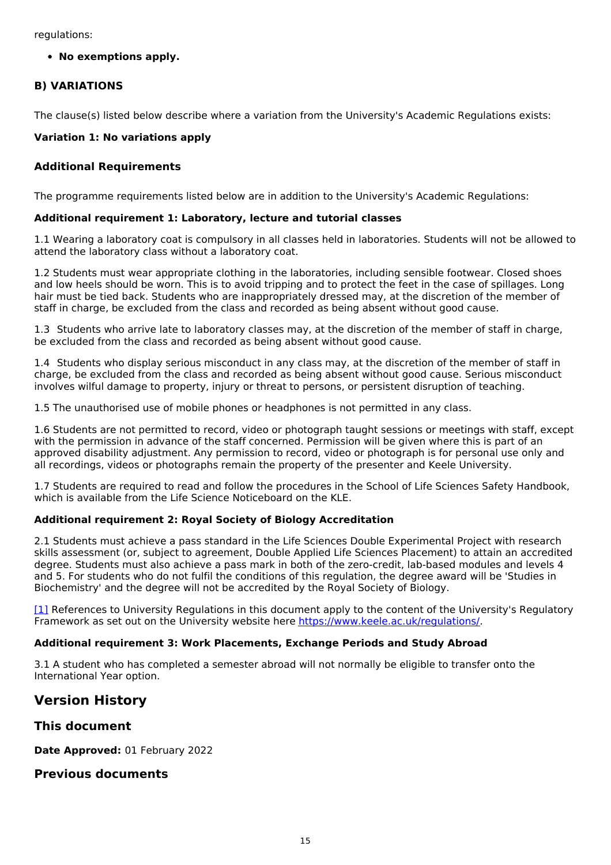regulations:

**No exemptions apply.**

#### **B) VARIATIONS**

The clause(s) listed below describe where a variation from the University's Academic Regulations exists:

#### **Variation 1: No variations apply**

#### **Additional Requirements**

The programme requirements listed below are in addition to the University's Academic Regulations:

#### **Additional requirement 1: Laboratory, lecture and tutorial classes**

1.1 Wearing a laboratory coat is compulsory in all classes held in laboratories. Students will not be allowed to attend the laboratory class without a laboratory coat.

1.2 Students must wear appropriate clothing in the laboratories, including sensible footwear. Closed shoes and low heels should be worn. This is to avoid tripping and to protect the feet in the case of spillages. Long hair must be tied back. Students who are inappropriately dressed may, at the discretion of the member of staff in charge, be excluded from the class and recorded as being absent without good cause.

1.3 Students who arrive late to laboratory classes may, at the discretion of the member of staff in charge, be excluded from the class and recorded as being absent without good cause.

1.4 Students who display serious misconduct in any class may, at the discretion of the member of staff in charge, be excluded from the class and recorded as being absent without good cause. Serious misconduct involves wilful damage to property, injury or threat to persons, or persistent disruption of teaching.

1.5 The unauthorised use of mobile phones or headphones is not permitted in any class.

1.6 Students are not permitted to record, video or photograph taught sessions or meetings with staff, except with the permission in advance of the staff concerned. Permission will be given where this is part of an approved disability adjustment. Any permission to record, video or photograph is for personal use only and all recordings, videos or photographs remain the property of the presenter and Keele University.

1.7 Students are required to read and follow the procedures in the School of Life Sciences Safety Handbook, which is available from the Life Science Noticeboard on the KLE.

#### **Additional requirement 2: Royal Society of Biology Accreditation**

2.1 Students must achieve a pass standard in the Life Sciences Double Experimental Project with research skills assessment (or, subject to agreement, Double Applied Life Sciences Placement) to attain an accredited degree. Students must also achieve a pass mark in both of the zero-credit, lab-based modules and levels 4 and 5. For students who do not fulfil the conditions of this regulation, the degree award will be 'Studies in Biochemistry' and the degree will not be accredited by the Royal Society of Biology.

[\[1\]](https://scims-api.keele.ac.uk/#_ftnref1) References to University Regulations in this document apply to the content of the University's Regulatory Framework as set out on the University website here <https://www.keele.ac.uk/regulations/>.

#### **Additional requirement 3: Work Placements, Exchange Periods and Study Abroad**

3.1 A student who has completed a semester abroad will not normally be eligible to transfer onto the International Year option.

## **Version History**

**This document**

**Date Approved:** 01 February 2022

#### **Previous documents**